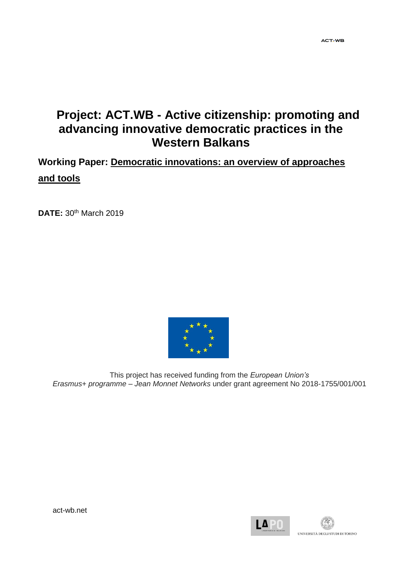# **Project: ACT.WB - Active citizenship: promoting and advancing innovative democratic practices in the Western Balkans**

**Working Paper: Democratic innovations: an overview of approaches and tools**

**DATE:** 30th March 2019



This project has received funding from the *European Union's Erasmus+ programme – Jean Monnet Networks* under grant agreement No 2018-1755/001/001



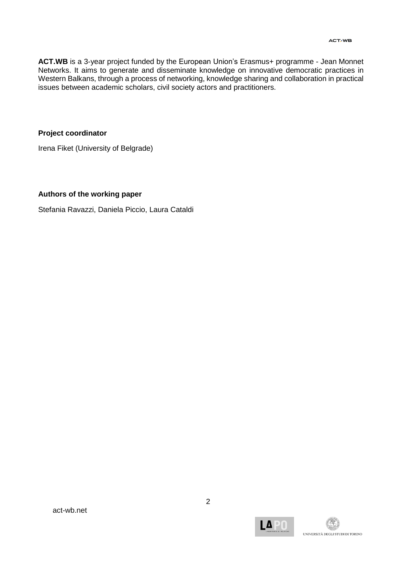**ACT.WB** is a 3-year project funded by the European Union's Erasmus+ programme - Jean Monnet Networks. It aims to generate and disseminate knowledge on innovative democratic practices in Western Balkans, through a process of networking, knowledge sharing and collaboration in practical issues between academic scholars, civil society actors and practitioners.

## **Project coordinator**

Irena Fiket (University of Belgrade)

#### **Authors of the working paper**

Stefania Ravazzi, Daniela Piccio, Laura Cataldi

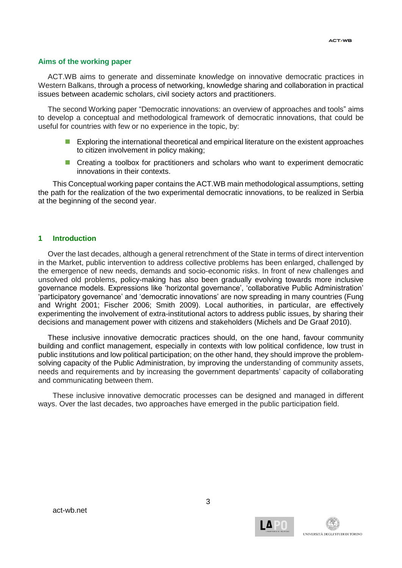#### **Aims of the working paper**

ACT.WB aims to generate and disseminate knowledge on innovative democratic practices in Western Balkans, through a process of networking, knowledge sharing and collaboration in practical issues between academic scholars, civil society actors and practitioners.

The second Working paper "Democratic innovations: an overview of approaches and tools" aims to develop a conceptual and methodological framework of democratic innovations, that could be useful for countries with few or no experience in the topic, by:

- **Exploring the international theoretical and empirical literature on the existent approaches** to citizen involvement in policy making;
- **Creating a toolbox for practitioners and scholars who want to experiment democratic** innovations in their contexts.

This Conceptual working paper contains the ACT.WB main methodological assumptions, setting the path for the realization of the two experimental democratic innovations, to be realized in Serbia at the beginning of the second year.

#### **1 Introduction**

Over the last decades, although a general retrenchment of the State in terms of direct intervention in the Market, public intervention to address collective problems has been enlarged, challenged by the emergence of new needs, demands and socio-economic risks. In front of new challenges and unsolved old problems, policy-making has also been gradually evolving towards more inclusive governance models. Expressions like 'horizontal governance', 'collaborative Public Administration' 'participatory governance' and 'democratic innovations' are now spreading in many countries (Fung and Wright 2001; Fischer 2006; Smith 2009). Local authorities, in particular, are effectively experimenting the involvement of extra-institutional actors to address public issues, by sharing their decisions and management power with citizens and stakeholders (Michels and De Graaf 2010).

These inclusive innovative democratic practices should, on the one hand, favour community building and conflict management, especially in contexts with low political confidence, low trust in public institutions and low political participation; on the other hand, they should improve the problemsolving capacity of the Public Administration, by improving the understanding of community assets, needs and requirements and by increasing the government departments' capacity of collaborating and communicating between them.

These inclusive innovative democratic processes can be designed and managed in different ways. Over the last decades, two approaches have emerged in the public participation field.

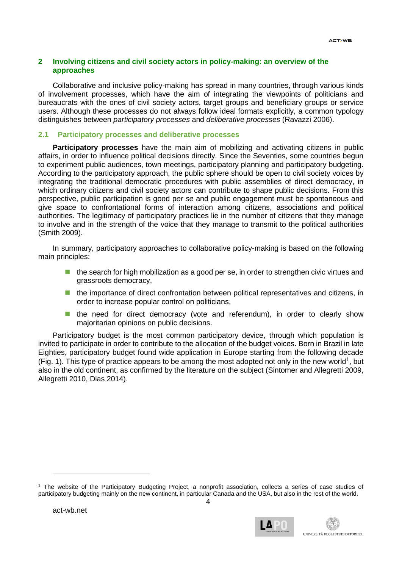# **2 Involving citizens and civil society actors in policy-making: an overview of the approaches**

Collaborative and inclusive policy-making has spread in many countries, through various kinds of involvement processes, which have the aim of integrating the viewpoints of politicians and bureaucrats with the ones of civil society actors, target groups and beneficiary groups or service users. Although these processes do not always follow ideal formats explicitly, a common typology distinguishes between *participatory processes* and *deliberative processes* (Ravazzi 2006).

# **2.1 Participatory processes and deliberative processes**

**Participatory processes** have the main aim of mobilizing and activating citizens in public affairs, in order to influence political decisions directly. Since the Seventies, some countries begun to experiment public audiences, town meetings, participatory planning and participatory budgeting. According to the participatory approach, the public sphere should be open to civil society voices by integrating the traditional democratic procedures with public assemblies of direct democracy, in which ordinary citizens and civil society actors can contribute to shape public decisions. From this perspective, public participation is good p*er se* and public engagement must be spontaneous and give space to confrontational forms of interaction among citizens, associations and political authorities. The legitimacy of participatory practices lie in the number of citizens that they manage to involve and in the strength of the voice that they manage to transmit to the political authorities (Smith 2009).

In summary, participatory approaches to collaborative policy-making is based on the following main principles:

- $\blacksquare$  the search for high mobilization as a good per se, in order to strengthen civic virtues and grassroots democracy,
- **the importance of direct confrontation between political representatives and citizens, in** order to increase popular control on politicians,
- **the need for direct democracy (vote and referendum), in order to clearly show** majoritarian opinions on public decisions.

Participatory budget is the most common participatory device, through which population is invited to participate in order to contribute to the allocation of the budget voices. Born in Brazil in late Eighties, participatory budget found wide application in Europe starting from the following decade (Fig. 1). This type of practice appears to be among the most adopted not only in the new world<sup>1</sup>, but also in the old continent, as confirmed by the literature on the subject (Sintomer and Allegretti 2009, Allegretti 2010, Dias 2014).

-



<sup>1</sup> The website of the Participatory Budgeting Project, a nonprofit association, collects a series of case studies of participatory budgeting mainly on the new continent, in particular Canada and the USA, but also in the rest of the world.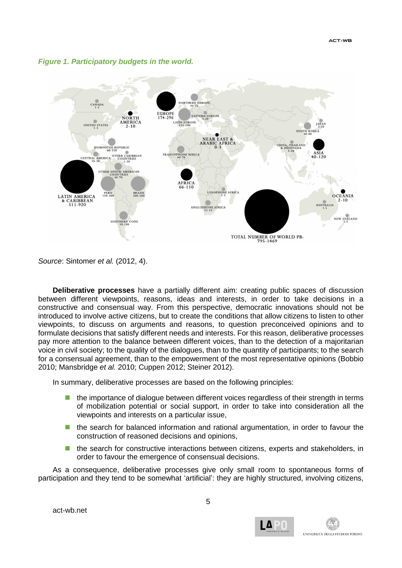



*Source*: Sintomer *et al.* (2012, 4).

**Deliberative processes** have a partially different aim: creating public spaces of discussion between different viewpoints, reasons, ideas and interests, in order to take decisions in a constructive and consensual way. From this perspective, democratic innovations should not be introduced to involve active citizens, but to create the conditions that allow citizens to listen to other viewpoints, to discuss on arguments and reasons, to question preconceived opinions and to formulate decisions that satisfy different needs and interests. For this reason, deliberative processes pay more attention to the balance between different voices, than to the detection of a majoritarian voice in civil society; to the quality of the dialogues, than to the quantity of participants; to the search for a consensual agreement, than to the empowerment of the most representative opinions (Bobbio 2010; Mansbridge *et al.* 2010; Cuppen 2012; Steiner 2012).

In summary, deliberative processes are based on the following principles:

- the importance of dialogue between different voices regardless of their strength in terms of mobilization potential or social support, in order to take into consideration all the viewpoints and interests on a particular issue,
- **the search for balanced information and rational argumentation, in order to favour the** construction of reasoned decisions and opinions,
- **the search for constructive interactions between citizens, experts and stakeholders, in** order to favour the emergence of consensual decisions.

As a consequence, deliberative processes give only small room to spontaneous forms of participation and they tend to be somewhat 'artificial': they are highly structured, involving citizens,



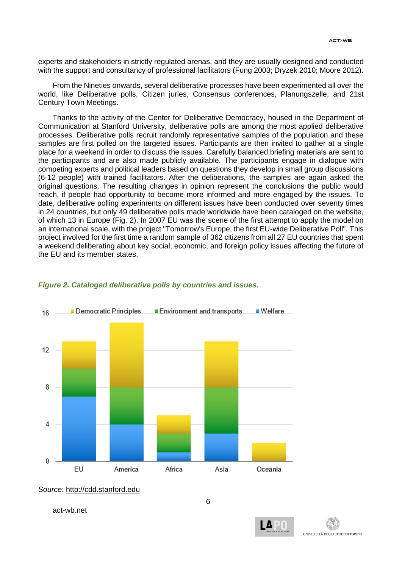experts and stakeholders in strictly regulated arenas, and they are usually designed and conducted with the support and consultancy of professional facilitators (Fung 2003; Dryzek 2010; Moore 2012).

From the Nineties onwards, several deliberative processes have been experimented all over the world, like Deliberative polls, Citizen juries, Consensus conferences, Planungszelle, and 21st Century Town Meetings.

Thanks to the activity of the Center for Deliberative Democracy, housed in the Department of Communication at Stanford University, deliberative polls are among the most applied deliberative processes. Deliberative polls recruit randomly representative samples of the population and these samples are first polled on the targeted issues. Participants are then invited to gather at a single place for a weekend in order to discuss the issues. Carefully balanced briefing materials are sent to the participants and are also made publicly available. The participants engage in dialogue with competing experts and political leaders based on questions they develop in small group discussions (6-12 people) with trained facilitators. After the deliberations, the samples are again asked the original questions. The resulting changes in opinion represent the conclusions the public would reach, if people had opportunity to become more informed and more engaged by the issues. To date, deliberative polling experiments on different issues have been conducted over seventy times in 24 countries, but only 49 deliberative polls made worldwide have been cataloged on the website, of which 13 in Europe (Fig. 2). In 2007 EU was the scene of the first attempt to apply the model on an international scale, with the project "Tomorrow's Europe, the first EU-wide Deliberative Poll". This project involved for the first time a random sample of 362 citizens from all 27 EU countries that spent a weekend deliberating about key social, economic, and foreign policy issues affecting the future of the EU and its member states.



#### *Figure 2. Cataloged deliberative polls by countries and issues.*

*Source*: [http://cdd.stanford.edu](http://cdd.stanford.edu/)



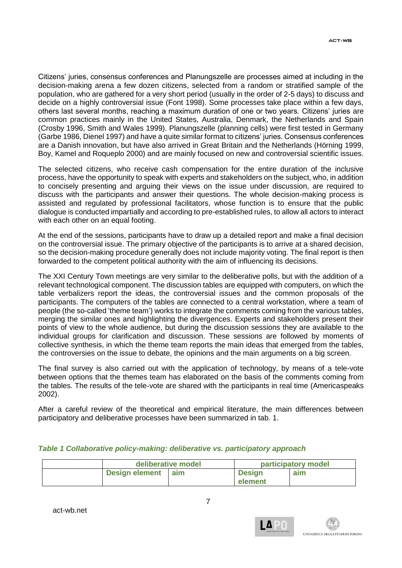Citizens' juries, consensus conferences and Planungszelle are processes aimed at including in the decision-making arena a few dozen citizens, selected from a random or stratified sample of the population, who are gathered for a very short period (usually in the order of 2-5 days) to discuss and decide on a highly controversial issue (Font 1998). Some processes take place within a few days, others last several months, reaching a maximum duration of one or two years. Citizens' juries are common practices mainly in the United States, Australia, Denmark, the Netherlands and Spain (Crosby 1996, Smith and Wales 1999). Planungszelle (planning cells) were first tested in Germany (Garbe 1986, Dienel 1997) and have a quite similar format to citizens' juries. Consensus conferences are a Danish innovation, but have also arrived in Great Britain and the Netherlands (Hörning 1999, Boy, Kamel and Roqueplo 2000) and are mainly focused on new and controversial scientific issues.

The selected citizens, who receive cash compensation for the entire duration of the inclusive process, have the opportunity to speak with experts and stakeholders on the subject, who, in addition to concisely presenting and arguing their views on the issue under discussion, are required to discuss with the participants and answer their questions. The whole decision-making process is assisted and regulated by professional facilitators, whose function is to ensure that the public dialogue is conducted impartially and according to pre-established rules, to allow all actors to interact with each other on an equal footing.

At the end of the sessions, participants have to draw up a detailed report and make a final decision on the controversial issue. The primary objective of the participants is to arrive at a shared decision, so the decision-making procedure generally does not include majority voting. The final report is then forwarded to the competent political authority with the aim of influencing its decisions.

The XXI Century Town meetings are very similar to the deliberative polls, but with the addition of a relevant technological component. The discussion tables are equipped with computers, on which the table verbalizers report the ideas, the controversial issues and the common proposals of the participants. The computers of the tables are connected to a central workstation, where a team of people (the so-called 'theme team') works to integrate the comments coming from the various tables, merging the similar ones and highlighting the divergences. Experts and stakeholders present their points of view to the whole audience, but during the discussion sessions they are available to the individual groups for clarification and discussion. These sessions are followed by moments of collective synthesis, in which the theme team reports the main ideas that emerged from the tables, the controversies on the issue to debate, the opinions and the main arguments on a big screen.

The final survey is also carried out with the application of technology, by means of a tele-vote between options that the themes team has elaborated on the basis of the comments coming from the tables. The results of the tele-vote are shared with the participants in real time (Americaspeaks 2002).

After a careful review of the theoretical and empirical literature, the main differences between participatory and deliberative processes have been summarized in tab. 1.

|                       | deliberative model |               | participatory model |  |
|-----------------------|--------------------|---------------|---------------------|--|
| <b>Design element</b> | aim                | <b>Design</b> | aim                 |  |
|                       |                    | element       |                     |  |

# *Table 1 Collaborative policy-making: deliberative vs. participatory approach*

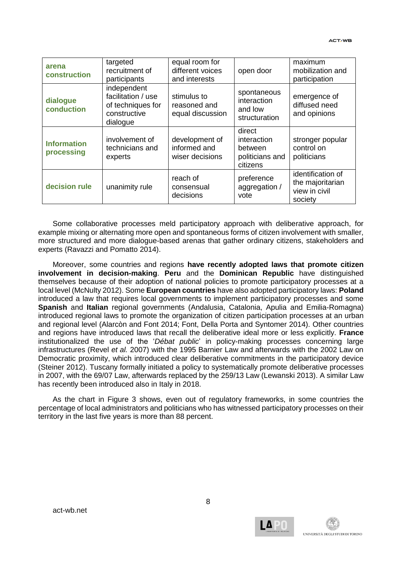| arena<br>construction            | targeted<br>recruitment of<br>participants                                         | equal room for<br>different voices<br>and interests | open door                                                       | maximum<br>mobilization and<br>participation                      |
|----------------------------------|------------------------------------------------------------------------------------|-----------------------------------------------------|-----------------------------------------------------------------|-------------------------------------------------------------------|
| dialogue<br>conduction           | independent<br>facilitation / use<br>of techniques for<br>constructive<br>dialogue | stimulus to<br>reasoned and<br>equal discussion     | spontaneous<br>interaction<br>and low<br>structuration          | emergence of<br>diffused need<br>and opinions                     |
| <b>Information</b><br>processing | involvement of<br>technicians and<br>experts                                       | development of<br>informed and<br>wiser decisions   | direct<br>interaction<br>between<br>politicians and<br>citizens | stronger popular<br>control on<br>politicians                     |
| decision rule                    | unanimity rule                                                                     | reach of<br>consensual<br>decisions                 | preference<br>aggregation /<br>vote                             | identification of<br>the majoritarian<br>view in civil<br>society |

Some collaborative processes meld participatory approach with deliberative approach, for example mixing or alternating more open and spontaneous forms of citizen involvement with smaller, more structured and more dialogue-based arenas that gather ordinary citizens, stakeholders and experts (Ravazzi and Pomatto 2014).

Moreover, some countries and regions **have recently adopted laws that promote citizen involvement in decision-making**. **Peru** and the **Dominican Republic** have distinguished themselves because of their adoption of national policies to promote participatory processes at a local level (McNulty 2012). Some **European countries** have also adopted participatory laws: **Poland** introduced a law that requires local governments to implement participatory processes and some **Spanish** and **Italian** regional governments (Andalusia, Catalonia, Apulia and Emilia-Romagna) introduced regional laws to promote the organization of citizen participation processes at an urban and regional level (Alarcòn and Font 2014; Font, Della Porta and Syntomer 2014). Other countries and regions have introduced laws that recall the deliberative ideal more or less explicitly. **France** institutionalized the use of the '*Débat public*' in policy-making processes concerning large infrastructures (Revel *et al.* 2007) with the 1995 Barnier Law and afterwards with the 2002 Law on Democratic proximity, which introduced clear deliberative commitments in the participatory device (Steiner 2012). Tuscany formally initiated a policy to systematically promote deliberative processes in 2007, with the 69/07 Law, afterwards replaced by the 259/13 Law (Lewanski 2013). A similar Law has recently been introduced also in Italy in 2018.

As the chart in Figure 3 shows, even out of regulatory frameworks, in some countries the percentage of local administrators and politicians who has witnessed participatory processes on their territory in the last five years is more than 88 percent.

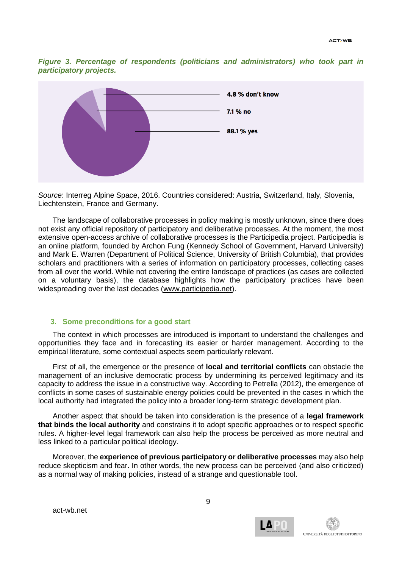*Figure 3. Percentage of respondents (politicians and administrators) who took part in participatory projects.*



*Source*: Interreg Alpine Space, 2016. Countries considered: Austria, Switzerland, Italy, Slovenia, Liechtenstein, France and Germany.

The landscape of collaborative processes in policy making is mostly unknown, since there does not exist any official repository of participatory and deliberative processes. At the moment, the most extensive open-access archive of collaborative processes is the Participedia project. Participedia is an online platform, founded by Archon Fung (Kennedy School of Government, Harvard University) and Mark E. Warren (Department of Political Science, University of British Columbia), that provides scholars and practitioners with a series of information on participatory processes, collecting cases from all over the world. While not covering the entire landscape of practices (as cases are collected on a voluntary basis), the database highlights how the participatory practices have been widespreading over the last decades [\(www.participedia.net\)](http://www.participedia.net/).

#### **3. Some preconditions for a good start**

The context in which processes are introduced is important to understand the challenges and opportunities they face and in forecasting its easier or harder management. According to the empirical literature, some contextual aspects seem particularly relevant.

First of all, the emergence or the presence of **local and territorial conflicts** can obstacle the management of an inclusive democratic process by undermining its perceived legitimacy and its capacity to address the issue in a constructive way. According to Petrella (2012), the emergence of conflicts in some cases of sustainable energy policies could be prevented in the cases in which the local authority had integrated the policy into a broader long-term strategic development plan.

Another aspect that should be taken into consideration is the presence of a **legal framework that binds the local authority** and constrains it to adopt specific approaches or to respect specific rules. A higher-level legal framework can also help the process be perceived as more neutral and less linked to a particular political ideology.

Moreover, the **experience of previous participatory or deliberative processes** may also help reduce skepticism and fear. In other words, the new process can be perceived (and also criticized) as a normal way of making policies, instead of a strange and questionable tool.

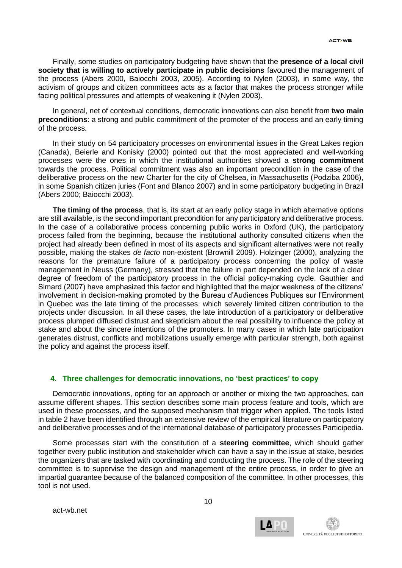Finally, some studies on participatory budgeting have shown that the **presence of a local civil society that is willing to actively participate in public decisions** favoured the management of the process (Abers 2000, Baiocchi 2003, 2005). According to Nylen (2003), in some way, the activism of groups and citizen committees acts as a factor that makes the process stronger while facing political pressures and attempts of weakening it (Nylen 2003).

In general, net of contextual conditions, democratic innovations can also benefit from **two main preconditions**: a strong and public commitment of the promoter of the process and an early timing of the process.

In their study on 54 participatory processes on environmental issues in the Great Lakes region (Canada), Beierle and Konisky (2000) pointed out that the most appreciated and well-working processes were the ones in which the institutional authorities showed a **strong commitment** towards the process. Political commitment was also an important precondition in the case of the deliberative process on the new Charter for the city of Chelsea, in Massachusetts (Podziba 2006), in some Spanish citizen juries (Font and Blanco 2007) and in some participatory budgeting in Brazil (Abers 2000; Baiocchi 2003).

**The timing of the process**, that is, its start at an early policy stage in which alternative options are still available, is the second important precondition for any participatory and deliberative process. In the case of a collaborative process concerning public works in Oxford (UK), the participatory process failed from the beginning, because the institutional authority consulted citizens when the project had already been defined in most of its aspects and significant alternatives were not really possible, making the stakes *de facto* non-existent (Brownill 2009). Holzinger (2000), analyzing the reasons for the premature failure of a participatory process concerning the policy of waste management in Neuss (Germany), stressed that the failure in part depended on the lack of a clear degree of freedom of the participatory process in the official policy-making cycle. Gauthier and Simard (2007) have emphasized this factor and highlighted that the major weakness of the citizens' involvement in decision-making promoted by the Bureau d'Audiences Publiques sur l'Environment in Quebec was the late timing of the processes, which severely limited citizen contribution to the projects under discussion. In all these cases, the late introduction of a participatory or deliberative process plumped diffused distrust and skepticism about the real possibility to influence the policy at stake and about the sincere intentions of the promoters. In many cases in which late participation generates distrust, conflicts and mobilizations usually emerge with particular strength, both against the policy and against the process itself.

# **4. Three challenges for democratic innovations, no 'best practices' to copy**

Democratic innovations, opting for an approach or another or mixing the two approaches, can assume different shapes. This section describes some main process feature and tools, which are used in these processes, and the supposed mechanism that trigger when applied. The tools listed in table 2 have been identified through an extensive review of the empirical literature on participatory and deliberative processes and of the international database of participatory processes Participedia.

Some processes start with the constitution of a **steering committee**, which should gather together every public institution and stakeholder which can have a say in the issue at stake, besides the organizers that are tasked with coordinating and conducting the process. The role of the steering committee is to supervise the design and management of the entire process, in order to give an impartial guarantee because of the balanced composition of the committee. In other processes, this tool is not used.



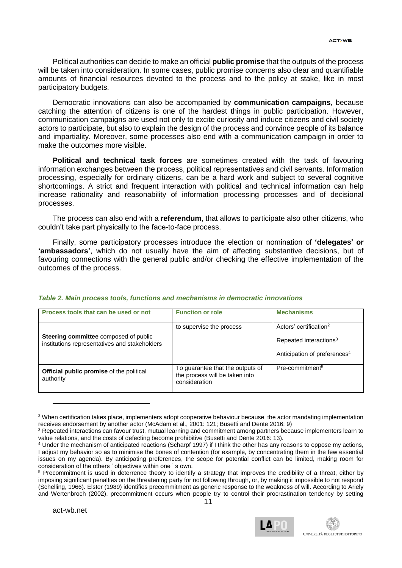Political authorities can decide to make an official **public promise** that the outputs of the process will be taken into consideration. In some cases, public promise concerns also clear and quantifiable amounts of financial resources devoted to the process and to the policy at stake, like in most participatory budgets.

Democratic innovations can also be accompanied by **communication campaigns**, because catching the attention of citizens is one of the hardest things in public participation. However, communication campaigns are used not only to excite curiosity and induce citizens and civil society actors to participate, but also to explain the design of the process and convince people of its balance and impartiality. Moreover, some processes also end with a communication campaign in order to make the outcomes more visible.

**Political and technical task forces** are sometimes created with the task of favouring information exchanges between the process, political representatives and civil servants. Information processing, especially for ordinary citizens, can be a hard work and subject to several cognitive shortcomings. A strict and frequent interaction with political and technical information can help increase rationality and reasonability of information processing processes and of decisional processes.

The process can also end with a **referendum**, that allows to participate also other citizens, who couldn't take part physically to the face-to-face process.

Finally, some participatory processes introduce the election or nomination of **'delegates' or 'ambassadors'**, which do not usually have the aim of affecting substantive decisions, but of favouring connections with the general public and/or checking the effective implementation of the outcomes of the process.

#### *Table 2. Main process tools, functions and mechanisms in democratic innovations*

| Process tools that can be used or not                                                  | <b>Function or role</b>                                                             | <b>Mechanisms</b>                                                                                                    |
|----------------------------------------------------------------------------------------|-------------------------------------------------------------------------------------|----------------------------------------------------------------------------------------------------------------------|
| Steering committee composed of public<br>institutions representatives and stakeholders | to supervise the process                                                            | Actors' certification <sup>2</sup><br>Repeated interactions <sup>3</sup><br>Anticipation of preferences <sup>4</sup> |
| <b>Official public promise</b> of the political<br>authority                           | To guarantee that the outputs of<br>the process will be taken into<br>consideration | Pre-commitment <sup>5</sup>                                                                                          |

<sup>&</sup>lt;sup>2</sup> When certification takes place, implementers adopt cooperative behaviour because the actor mandating implementation receives endorsement by another actor (McAdam et al., 2001: 121; Busetti and Dente 2016: 9)

-



<sup>3</sup> Repeated interactions can favour trust, mutual learning and commitment among partners because implementers learn to value relations, and the costs of defecting become prohibitive (Busetti and Dente 2016: 13).

<sup>4</sup> Under the mechanism of anticipated reactions (Scharpf 1997) if I think the other has any reasons to oppose my actions, I adjust my behavior so as to minimise the bones of contention (for example, by concentrating them in the few essential issues on my agenda). By anticipating preferences, the scope for potential conflict can be limited, making room for consideration of the others ' objectives within one ' s own.

<sup>&</sup>lt;sup>5</sup> Precommitment is used in deterrence theory to identify a strategy that improves the credibility of a threat, either by imposing significant penalties on the threatening party for not following through, or, by making it impossible to not respond (Schelling, 1966). Elster (1989) identifies precommitment as generic response to the weakness of will. According to Ariely and Wertenbroch (2002), precommitment occurs when people try to control their procrastination tendency by setting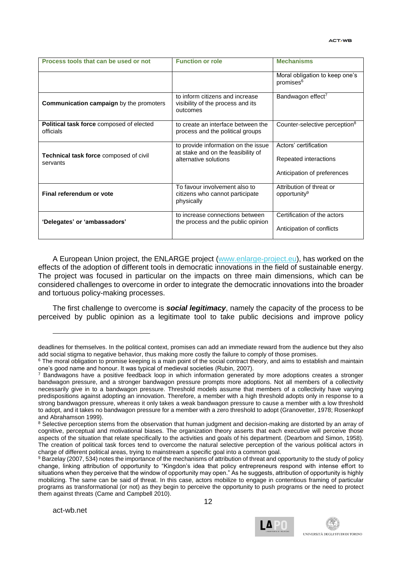| Process tools that can be used or not                        | <b>Function or role</b>                                                                            | <b>Mechanisms</b>                                                             |
|--------------------------------------------------------------|----------------------------------------------------------------------------------------------------|-------------------------------------------------------------------------------|
|                                                              |                                                                                                    | Moral obligation to keep one's<br>promises <sup>6</sup>                       |
| <b>Communication campaign</b> by the promoters               | to inform citizens and increase<br>visibility of the process and its<br>outcomes                   | Bandwagon effect <sup>7</sup>                                                 |
| <b>Political task force composed of elected</b><br>officials | to create an interface between the<br>process and the political groups                             | Counter-selective perception <sup>8</sup>                                     |
| Technical task force composed of civil<br>servants           | to provide information on the issue<br>at stake and on the feasibility of<br>alternative solutions | Actors' certification<br>Repeated interactions<br>Anticipation of preferences |
| Final referendum or vote                                     | To favour involvement also to<br>citizens who cannot participate<br>physically                     | Attribution of threat or<br>opportunity <sup>9</sup>                          |
| 'Delegates' or 'ambassadors'                                 | to increase connections between<br>the process and the public opinion                              | Certification of the actors<br>Anticipation of conflicts                      |

A European Union project, the ENLARGE project [\(www.enlarge-project.eu\)](http://www.enlarge-project.eu/), has worked on the effects of the adoption of different tools in democratic innovations in the field of sustainable energy. The project was focused in particular on the impacts on three main dimensions, which can be considered challenges to overcome in order to integrate the democratic innovations into the broader and tortuous policy-making processes.

The first challenge to overcome is *social legitimacy*, namely the capacity of the process to be perceived by public opinion as a legitimate tool to take public decisions and improve policy

-



deadlines for themselves. In the political context, promises can add an immediate reward from the audience but they also add social stigma to negative behavior, thus making more costly the failure to comply of those promises.

<sup>&</sup>lt;sup>6</sup> The moral obligation to promise keeping is a main point of the social contract theory, and aims to establish and maintain one's good name and honour. It was typical of medieval societies (Rubin, 2007).

<sup>7</sup> Bandwagons have a positive feedback loop in which information generated by more adoptions creates a stronger bandwagon pressure, and a stronger bandwagon pressure prompts more adoptions. Not all members of a collectivity necessarily give in to a bandwagon pressure. Threshold models assume that members of a collectivity have varying predispositions against adopting an innovation. Therefore, a member with a high threshold adopts only in response to a strong bandwagon pressure, whereas it only takes a weak bandwagon pressure to cause a member with a low threshold to adopt, and it takes no bandwagon pressure for a member with a zero threshold to adopt (Granovetter, 1978; Rosenkopf and Abrahamson 1999).

<sup>&</sup>lt;sup>8</sup> Selective perception stems from the observation that human judgment and decision-making are distorted by an array of cognitive, perceptual and motivational biases. The organization theory asserts that each executive will perceive those aspects of the situation that relate specifically to the activities and goals of his department. (Dearborn and Simon, 1958). The creation of political task forces tend to overcome the natural selective perception of the various political actors in charge of different political areas, trying to mainstream a specific goal into a common goal.

<sup>9</sup> Barzelay (2007, 534) notes the importance of the mechanisms of attribution of threat and opportunity to the study of policy change, linking attribution of opportunity to "Kingdon's idea that policy entrepreneurs respond with intense effort to situations when they perceive that the window of opportunity may open." As he suggests, attribution of opportunity is highly mobilizing. The same can be said of threat. In this case, actors mobilize to engage in contentious framing of particular programs as transformational (or not) as they begin to perceive the opportunity to push programs or the need to protect them against threats (Came and Campbell 2010).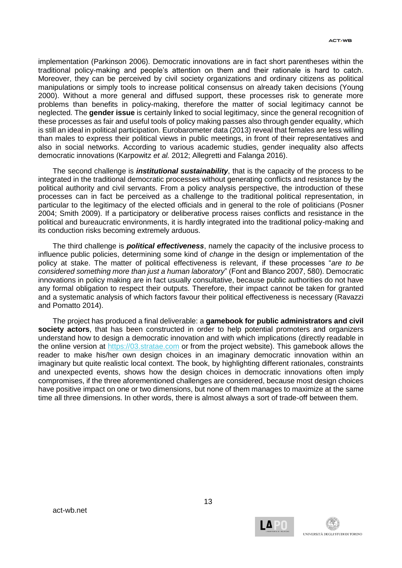implementation (Parkinson 2006). Democratic innovations are in fact short parentheses within the traditional policy-making and people's attention on them and their rationale is hard to catch. Moreover, they can be perceived by civil society organizations and ordinary citizens as political manipulations or simply tools to increase political consensus on already taken decisions (Young 2000). Without a more general and diffused support, these processes risk to generate more problems than benefits in policy-making, therefore the matter of social legitimacy cannot be neglected. The **gender issue** is certainly linked to social legitimacy, since the general recognition of these processes as fair and useful tools of policy making passes also through gender equality, which is still an ideal in political participation. Eurobarometer data (2013) reveal that females are less willing than males to express their political views in public meetings, in front of their representatives and also in social networks. According to various academic studies, gender inequality also affects democratic innovations (Karpowitz *et al.* 2012; Allegretti and Falanga 2016).

The second challenge is *institutional sustainability*, that is the capacity of the process to be integrated in the traditional democratic processes without generating conflicts and resistance by the political authority and civil servants. From a policy analysis perspective, the introduction of these processes can in fact be perceived as a challenge to the traditional political representation, in particular to the legitimacy of the elected officials and in general to the role of politicians (Posner 2004; Smith 2009). If a participatory or deliberative process raises conflicts and resistance in the political and bureaucratic environments, it is hardly integrated into the traditional policy-making and its conduction risks becoming extremely arduous.

The third challenge is *political effectiveness*, namely the capacity of the inclusive process to influence public policies, determining some kind of *change* in the design or implementation of the policy at stake. The matter of political effectiveness is relevant, if these processes "*are to be considered something more than just a human laboratory*" (Font and Blanco 2007, 580). Democratic innovations in policy making are in fact usually consultative, because public authorities do not have any formal obligation to respect their outputs. Therefore, their impact cannot be taken for granted and a systematic analysis of which factors favour their political effectiveness is necessary (Ravazzi and Pomatto 2014).

The project has produced a final deliverable: a **gamebook for public administrators and civil society actors**, that has been constructed in order to help potential promoters and organizers understand how to design a democratic innovation and with which implications (directly readable in the online version at [https://03.stratae.com](https://03.stratae.com/) or from the project website). This gamebook allows the reader to make his/her own design choices in an imaginary democratic innovation within an imaginary but quite realistic local context. The book, by highlighting different rationales, constraints and unexpected events, shows how the design choices in democratic innovations often imply compromises, if the three aforementioned challenges are considered, because most design choices have positive impact on one or two dimensions, but none of them manages to maximize at the same time all three dimensions. In other words, there is almost always a sort of trade-off between them.

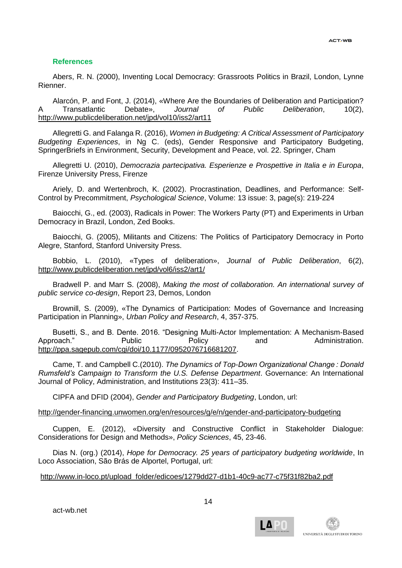# **References**

Abers, R. N. (2000), Inventing Local Democracy: Grassroots Politics in Brazil, London, Lynne Rienner.

Alarcón, P. and Font, J. (2014), «Where Are the Boundaries of Deliberation and Participation? A Transatlantic Debate», *Journal of Public Deliberation*, 10(2), <http://www.publicdeliberation.net/jpd/vol10/iss2/art11>

Allegretti G. and Falanga R. (2016), *Women in Budgeting: A Critical Assessment of Participatory Budgeting Experiences*, in Ng C. (eds), Gender Responsive and Participatory Budgeting, SpringerBriefs in Environment, Security, Development and Peace, vol. 22. Springer, Cham

Allegretti U. (2010), *Democrazia partecipativa. Esperienze e Prospettive in Italia e in Europa*, Firenze University Press, Firenze

Ariely, D. and Wertenbroch, K. (2002). Procrastination, Deadlines, and Performance: Self-Control by Precommitment, *Psychological Science*, Volume: 13 issue: 3, page(s): 219-224

Baiocchi, G., ed. (2003), Radicals in Power: The Workers Party (PT) and Experiments in Urban Democracy in Brazil, London, Zed Books.

Baiocchi, G. (2005), Militants and Citizens: The Politics of Participatory Democracy in Porto Alegre, Stanford, Stanford University Press.

Bobbio, L. (2010), «Types of deliberation», *Journal of Public Deliberation*, 6(2), <http://www.publicdeliberation.net/jpd/vol6/iss2/art1/>

Bradwell P. and Marr S. (2008), *Making the most of collaboration. An international survey of public service co-design*, Report 23, Demos, London

Brownill, S. (2009), «The Dynamics of Participation: Modes of Governance and Increasing Participation in Planning», *Urban Policy and Research*, 4, 357-375.

Busetti, S., and B. Dente. 2016. "Designing Multi-Actor Implementation: A Mechanism-Based Approach." Public Policy and Administration. [http://ppa.sagepub.com/cgi/doi/10.1177/0952076716681207.](http://ppa.sagepub.com/cgi/doi/10.1177/0952076716681207)

Came, T. and Campbell C.(2010). *The Dynamics of Top-Down Organizational Change : Donald Rumsfeld's Campaign to Transform the U.S. Defense Department*. Governance: An International Journal of Policy, Administration, and Institutions 23(3): 411–35.

CIPFA and DFID (2004), *Gender and Participatory Budgeting*, London, url:

#### <http://gender-financing.unwomen.org/en/resources/g/e/n/gender-and-participatory-budgeting>

Cuppen, E. (2012), «Diversity and Constructive Conflict in Stakeholder Dialogue: Considerations for Design and Methods», *Policy Sciences*, 45, 23-46.

Dias N. (org.) (2014), *Hope for Democracy. 25 years of participatory budgeting worldwide*, In Loco Association, São Brás de Alportel, Portugal, url:

## [http://www.in-loco.pt/upload\\_folder/edicoes/1279dd27-d1b1-40c9-ac77-c75f31f82ba2.pdf](http://www.in-loco.pt/upload_folder/edicoes/1279dd27-d1b1-40c9-ac77-c75f31f82ba2.pdf)

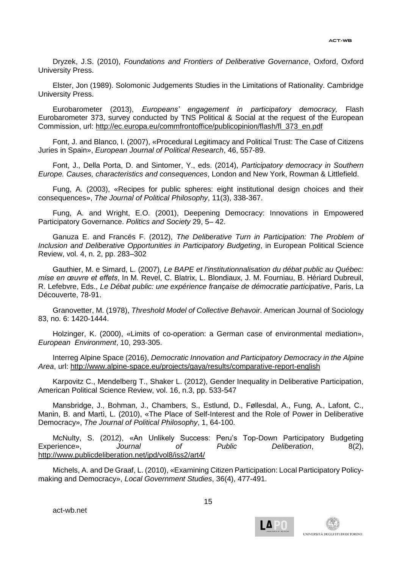Dryzek, J.S. (2010), *Foundations and Frontiers of Deliberative Governance*, Oxford, Oxford University Press.

Elster, Jon (1989). Solomonic Judgements Studies in the Limitations of Rationality. Cambridge University Press.

Eurobarometer (2013), *Europeans' engagement in participatory democracy,* Flash Eurobarometer 373, survey conducted by TNS Political & Social at the request of the European Commission, url: [http://ec.europa.eu/commfrontoffice/publicopinion/flash/fl\\_373\\_en.pdf](http://ec.europa.eu/commfrontoffice/publicopinion/flash/fl_373_en.pdf)

Font, J. and Blanco, I. (2007), «Procedural Legitimacy and Political Trust: The Case of Citizens Juries in Spain», *European Journal of Political Research*, 46, 557-89.

Font, J., Della Porta, D. and Sintomer, Y., eds. (2014), *Participatory democracy in Southern Europe. Causes, characteristics and consequences*, London and New York, Rowman & Littlefield.

Fung, A. (2003), «Recipes for public spheres: eight institutional design choices and their consequences», *The Journal of Political Philosophy*, 11(3), 338-367.

Fung, A. and Wright, E.O. (2001), Deepening Democracy: Innovations in Empowered Participatory Governance. *Politics and Society* 29, 5– 42.

Ganuza E. and Francés F. (2012), *The Deliberative Turn in Participation: The Problem of Inclusion and Deliberative Opportunities in Participatory Budgeting*, in European Political Science Review, vol. 4, n. 2, pp. 283–302

Gauthier, M. e Simard, L. (2007), *Le BAPE et l'institutionnalisation du débat public au Québec: mise en œuvre et effets*, In M. Revel, C. Blatrix, L. Blondiaux, J. M. Fourniau, B. Hériard Dubreuil, R. Lefebvre, Eds., *Le Débat public: une expérience française de démocratie participative*, Paris, La Découverte, 78-91.

Granovetter, M. (1978), *Threshold Model of Collective Behavoir*. American Journal of Sociology 83, no. 6: 1420-1444.

Holzinger, K. (2000), «Limits of co-operation: a German case of environmental mediation», *European Environment*, 10, 293-305.

Interreg Alpine Space (2016), *Democratic Innovation and Participatory Democracy in the Alpine Area*, url:<http://www.alpine-space.eu/projects/gaya/results/comparative-report-english>

Karpovitz C., Mendelberg T., Shaker L. (2012), Gender Inequality in Deliberative Participation, American Political Science Review, vol. 16, n.3, pp. 533-547

Mansbridge, J., Bohman, J., Chambers, S., Estlund, D., Føllesdal, A., Fung, A., Lafont, C., Manin, B. and Martì, L. (2010), «The Place of Self-Interest and the Role of Power in Deliberative Democracy», *The Journal of Political Philosophy*, 1, 64-100.

McNulty, S. (2012), «An Unlikely Success: Peru's Top-Down Participatory Budgeting Experience», *Journal of Public Deliberation*, 8(2), <http://www.publicdeliberation.net/jpd/vol8/iss2/art4/>

Michels, A. and De Graaf, L. (2010), «Examining Citizen Participation: Local Participatory Policymaking and Democracy», *Local Government Studies*, 36(4), 477-491.

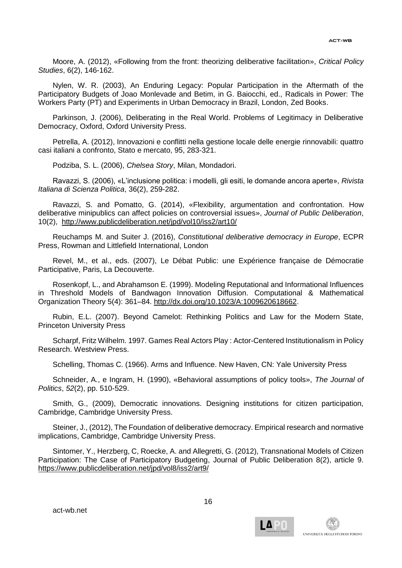Moore, A. (2012), «Following from the front: theorizing deliberative facilitation», *Critical Policy Studies*, 6(2), 146-162.

Nylen, W. R. (2003), An Enduring Legacy: Popular Participation in the Aftermath of the Participatory Budgets of Joao Monlevade and Betim, in G. Baiocchi, ed., Radicals in Power: The Workers Party (PT) and Experiments in Urban Democracy in Brazil, London, Zed Books.

Parkinson, J. (2006), Deliberating in the Real World. Problems of Legitimacy in Deliberative Democracy, Oxford, Oxford University Press.

Petrella, A. (2012), Innovazioni e conflitti nella gestione locale delle energie rinnovabili: quattro casi italiani a confronto, Stato e mercato, 95, 283-321.

Podziba, S. L. (2006), *Chelsea Story*, Milan, Mondadori.

Ravazzi, S. (2006), «L'inclusione politica: i modelli, gli esiti, le domande ancora aperte», *Rivista Italiana di Scienza Politica*, 36(2), 259-282.

Ravazzi, S. and Pomatto, G. (2014), «Flexibility, argumentation and confrontation. How deliberative minipublics can affect policies on controversial issues», *Journal of Public Deliberation*, 10(2), <http://www.publicdeliberation.net/jpd/vol10/iss2/art10/>

Reuchamps M. and Suiter J. (2016), *Constitutional deliberative democracy in Europe*, ECPR Press, Rowman and Littlefield International, London

Revel, M., et al., eds. (2007), Le Débat Public: une Expérience française de Démocratie Participative, Paris, La Decouverte.

Rosenkopf, L., and Abrahamson E. (1999). Modeling Reputational and Informational Influences in Threshold Models of Bandwagon Innovation Diffusion. Computational & Mathematical Organization Theory 5(4): 361–84. [http://dx.doi.org/10.1023/A:1009620618662.](http://dx.doi.org/10.1023/A:1009620618662)

Rubin, E.L. (2007). Beyond Camelot: Rethinking Politics and Law for the Modern State, Princeton University Press

Scharpf, Fritz Wilhelm. 1997. Games Real Actors Play : Actor-Centered Institutionalism in Policy Research. Westview Press.

Schelling, Thomas C. (1966). Arms and Influence. New Haven, CN: Yale University Press

Schneider, A., e Ingram, H. (1990), «Behavioral assumptions of policy tools», *The Journal of Politics*, *52*(2), pp. 510-529.

Smith, G., (2009), Democratic innovations. Designing institutions for citizen participation, Cambridge, Cambridge University Press.

Steiner, J., (2012), The Foundation of deliberative democracy. Empirical research and normative implications, Cambridge, Cambridge University Press.

Sintomer, Y., Herzberg, C, Roecke, A. and Allegretti, G. (2012), Transnational Models of Citizen Participation: The Case of Participatory Budgeting, Journal of Public Deliberation 8(2), article 9. https://www.publicdeliberation.net/jpd/vol8/iss2/art9/